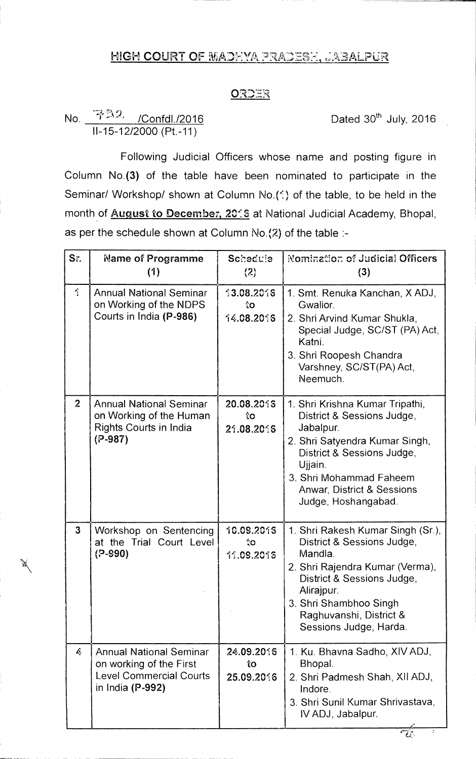## HIGH COURT OF MADHYA PRADESH, JABALPUR

## ORDER

## No.  $T^{23}$  /Confdl./2016 **Dated 30<sup>th</sup> July, 2016** 11-15-12/2000 (Pt.-11)

Following Judicial Officers whose name and posting figure in Column No.(3) of the table have been nominated to participate in the Seminar/ Workshop/ shown at Column No.(1) of the table, to be held in the month of **August to December, 2016** at National Judicial Academy, Bhopal, as per the schedule shown at Column No.(2) of the table :-

| Sr.            | Name of Programme<br>(1)                                                                                        | Schedule<br>(2)                | Nomination of Judicial Officers<br>(3)                                                                                                                                                                                                   |
|----------------|-----------------------------------------------------------------------------------------------------------------|--------------------------------|------------------------------------------------------------------------------------------------------------------------------------------------------------------------------------------------------------------------------------------|
| $\gamma$       | <b>Annual National Seminar</b><br>on Working of the NDPS<br>Courts in India (P-986)                             | 13.08.2016<br>းဝ<br>14.08.2016 | 1. Smt. Renuka Kanchan, X ADJ,<br>Gwalior.<br>2. Shri Arvind Kumar Shukla,<br>Special Judge, SC/ST (PA) Act,<br>Katni.<br>3. Shri Roopesh Chandra<br>Varshney, SC/ST(PA) Act,<br>Neemuch.                                                |
| $\overline{2}$ | <b>Annual National Seminar</b><br>on Working of the Human<br>Rights Courts in India<br>$(P-987)$                | 20.08.2016<br>ίO<br>21.08.2016 | 1. Shri Krishna Kumar Tripathi,<br>District & Sessions Judge,<br>Jabalpur.<br>2. Shri Satyendra Kumar Singh,<br>District & Sessions Judge,<br>Ujjain.<br>3. Shri Mohammad Faheem<br>Anwar, District & Sessions<br>Judge, Hoshangabad.    |
| $\mathbf{3}$   | Workshop on Sentencing<br>at the Trial Court Level<br>(P-990)                                                   | 10.09.2015<br>İΟ<br>11.09.2015 | 1. Shri Rakesh Kumar Singh (Sr.),<br>District & Sessions Judge,<br>Mandla.<br>2. Shri Rajendra Kumar (Verma),<br>District & Sessions Judge,<br>Alirajpur.<br>3. Shri Shambhoo Singh<br>Raghuvanshi, District &<br>Sessions Judge, Harda. |
| b,             | <b>Annual National Seminar</b><br>on working of the First<br><b>Level Commercial Courts</b><br>in India (P-992) | 24.09.2016<br>tо<br>25.09.2016 | 1. Ku. Bhavna Sadho, XIV ADJ,<br>Bhopal.<br>2. Shri Padmesh Shah, XII ADJ,<br>Indore.<br>3. Shri Sunil Kumar Shrivastava,<br>IV ADJ, Jabalpur.                                                                                           |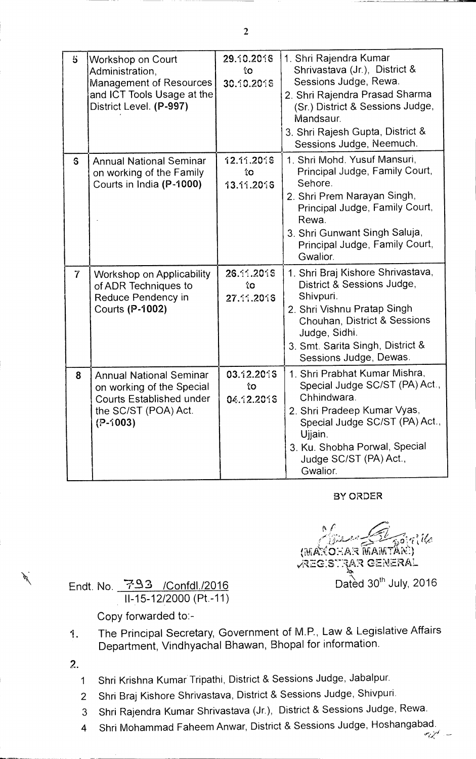| $\mathbf{5}$   | <b>Workshop on Court</b><br>Administration,<br><b>Management of Resources</b><br>and ICT Tools Usage at the<br>District Level. (P-997) | 29.10.2016<br>îО<br>30.10.2016 | 1. Shri Rajendra Kumar<br>Shrivastava (Jr.), District &<br>Sessions Judge, Rewa.<br>2. Shri Rajendra Prasad Sharma<br>(Sr.) District & Sessions Judge,<br>Mandsaur.<br>3. Shri Rajesh Gupta, District &<br>Sessions Judge, Neemuch. |
|----------------|----------------------------------------------------------------------------------------------------------------------------------------|--------------------------------|-------------------------------------------------------------------------------------------------------------------------------------------------------------------------------------------------------------------------------------|
| S.             | <b>Annual National Seminar</b><br>on working of the Family<br>Courts in India (P-1000)                                                 | 12.11.2016<br>îо<br>13.11.2015 | 1. Shri Mohd. Yusuf Mansuri,<br>Principal Judge, Family Court,<br>Sehore.<br>2. Shri Prem Narayan Singh,<br>Principal Judge, Family Court,<br>Rewa.<br>3. Shri Gunwant Singh Saluja,<br>Principal Judge, Family Court,<br>Gwalior.  |
| $\overline{7}$ | <b>Workshop on Applicability</b><br>of ADR Techniques to<br>Reduce Pendency in<br>Courts (P-1002)                                      | 26.11.2015<br>îΟ<br>27.11.2016 | 1. Shri Braj Kishore Shrivastava,<br>District & Sessions Judge,<br>Shivpuri.<br>2. Shri Vishnu Pratap Singh<br>Chouhan, District & Sessions<br>Judge, Sidhi.<br>3. Smt. Sarita Singh, District &<br>Sessions Judge, Dewas.          |
| 8              | <b>Annual National Seminar</b><br>on working of the Special<br><b>Courts Established under</b><br>the SC/ST (POA) Act.<br>$(P-1003)$   | 03.12.2015<br>ÎО<br>04.12.2015 | 1. Shri Prabhat Kumar Mishra,<br>Special Judge SC/ST (PA) Act.,<br>Chhindwara.<br>2. Shri Pradeep Kumar Vyas,<br>Special Judge SC/ST (PA) Act.,<br>Ujjain.<br>3. Ku. Shobha Porwal, Special<br>Judge SC/ST (PA) Act.,<br>Gwalior.   |

## BY ORDER

 $\ell$  $\tau$ *ille* (MAXOHAR MAMTANI) v111-EC--:57:1Ari GENERAL Endt. No. 793 /Confdl./2016 Dated 30<sup>th</sup> July, 2016

11-15-12/2000 (Pt.-11)

Copy forwarded to:-

- 1. The Principal Secretary, Government of M.P., Law & Legislative Affairs Department, Vindhyachal Bhawan, Bhopal for information.
- 2.
	- 1 Shri Krishna Kumar Tripathi, District & Sessions Judge, Jabalpur.
	- 2 Shri Braj Kishore Shrivastava, District & Sessions Judge, Shivpuri.
	- 3 Shri Rajendra Kumar Shrivastava (Jr.), District & Sessions Judge, Rewa.
	- 4 Shri Mohammad Faheem Anwar, District & Sessions Judge, Hoshangabad.

2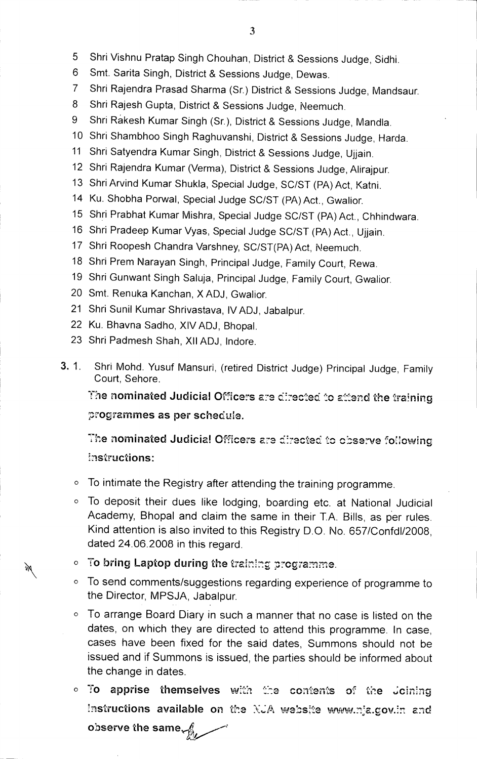- 5 Shri Vishnu Pratap Singh Chouhan, District & Sessions Judge, Sidhi.
- 6 Smt. Santa Singh, District & Sessions Judge, Dewas.
- 7 Shri Rajendra Prasad Sharma (Sr.) District & Sessions Judge, Mandsaur.
- 8 Shri Rajesh Gupta, District & Sessions Judge, Neemuch.
- 9 Shri Rakesh Kumar Singh (Sr.), District & Sessions Judge, Mandla.
- 10 Shri Shambhoo Singh Raghuvanshi, District & Sessions Judge, Harda.
- 11 Shri Satyendra Kumar Singh, District & Sessions Judge, Ujjain.
- 12 Shri Rajendra Kumar (Verma), District & Sessions Judge, Alirajpur.
- 13 Shri Arvind Kumar Shukla, Special Judge, SC/ST (PA) Act, Katni.
- 14 Ku. Shobha Porwal, Special Judge SC/ST (PA) Act., Gwalior.
- 15 Shri Prabhat Kumar Mishra, Special Judge SC/ST (PA) Act., Chhindwara.
- 16 Shri Pradeep Kumar Vyas, Special Judge SC/ST (PA) Act., Ujjain.
- 17 Shri Roopesh Chandra Varshney, SC/ST(PA) Act, Neemuch.
- 18 Shri Prem Narayan Singh, Principal Judge, Family Court, Rewa.
- 19 Shri Gunwant Singh Saluja, Principal Judge, Family Court, Gwalior.
- 20 Smt. Renuka Kanchan, X ADJ, Gwalior.
- 21 Shri Sunil Kumar Shrivastava, IV ADJ, Jabalpur.
- 22 Ku. Bhavna Sadho, XIV ADJ, Bhopal.
- 23 Shri Padmesh Shah, XII ADJ, lndore.
- **3.** 1. Shri Mohd. Yusuf Mansuri, (retired District Judge) Principal Judge, Family Court, Sehore.

The nominated Judicial Officers are directed to attend the training **programmes as per schedule.** 

The nominated Judicial Officers are directed to observe following **instructions:** 

- O To intimate **the Registry after attending the training programme.**
- **O To deposit their dues like lodging, boarding etc. at National.Judicial Academy, Bhopal and claim the same in their T.A. Bills, as per rules. Kind attention is also invited to this Registry D.O. No. 657/Confd1/2008, dated 24.06.2008 in this regard.**
- **O To bring Laptop during the training programme.**
- **O To send comments/suggestions regarding experience of programme to the Director, MPSJA, Jabalpur.**
- **O To arrange Board Diary in such a manner that no case is listed on the dates, on which they are directed to attend this programme. In case, cases have been fixed for the said dates, Summons should not be issued and if Summons is issued, the parties should be informed about the change in dates.**
- o To apprise themselves with the contents of the Joining Instructions available on the *NJA* website www.nja.gov.in and **observe the same**